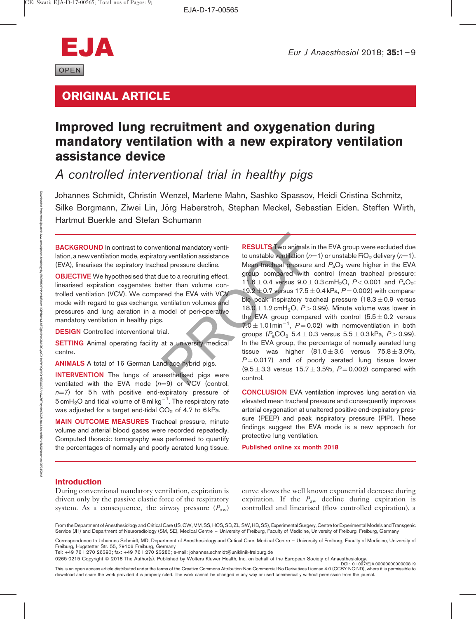

# ORIGINAL ARTICLE

# Improved lung recruitment and oxygenation during mandatory ventilation with a new expiratory ventilation assistance device

A controlled interventional trial in healthy pigs

Johannes Schmidt, Christin Wenzel, Marlene Mahn, Sashko Spassov, Heidi Cristina Schmitz, Silke Borgmann, Ziwei Lin, Jörg Haberstroh, Stephan Meckel, Sebastian Eiden, Steffen Wirth, Hartmut Buerkle and Stefan Schumann

**BACKGROUND** In contrast to conventional mandatory ventilation, a new ventilation mode, expiratory ventilation assistance (EVA), linearises the expiratory tracheal pressure decline.

OBJECTIVE We hypothesised that due to a recruiting effect, linearised expiration oxygenates better than volume controlled ventilation (VCV). We compared the EVA with VCV mode with regard to gas exchange, ventilation volumes and pressures and lung aeration in a model of peri-operative mandatory ventilation in healthy pigs.

**DESIGN** Controlled interventional trial.

**SETTING** Animal operating facility at a university medical centre.

ANIMALS A total of 16 German Landrace hybrid pigs.

INTERVENTION The lungs of anaesthetised pigs were ventilated with the EVA mode  $(n=9)$  or VCV (control,  $n=7$ ) for 5 h with positive end-expiratory pressure of 5 cm ${\sf H_2O}$  and tidal volume of 8 ml kg $^{-1}$ . The respiratory rate was adjusted for a target end-tidal  $CO<sub>2</sub>$  of 4.7 to 6 kPa.

MAIN OUTCOME MEASURES Tracheal pressure, minute volume and arterial blood gases were recorded repeatedly. Computed thoracic tomography was performed to quantify the percentages of normally and poorly aerated lung tissue.

mional mandatory venti-<br>
priori mandatory venti-<br>
example the pressure decline.<br>
We are the text in the control of the EVA with the EVA with VCV<br>
example the EVA with VCV<br>
wentilation volumes and<br>
the EVA with VCV<br>
exampl **RESULTS** Two animals in the EVA group were excluded due to unstable ventilation ( $n=1$ ) or unstable FiO<sub>2</sub> delivery ( $n=1$ ). Mean tracheal pressure and  $P_aO_2$  were higher in the EVA group compared with control (mean tracheal pressure: 11.6  $\pm$  0.4 versus 9.0  $\pm$  0.3 cmH<sub>2</sub>O, P < 0.001 and P<sub>a</sub>O<sub>2</sub>: 19.2  $\pm$  0.7 versus 17.5  $\pm$  0.4 kPa, P = 0.002) with comparable peak inspiratory tracheal pressure  $(18.3 \pm 0.9)$  versus  $18.0 \pm 1.2$  cmH<sub>2</sub>O, P > 0.99). Minute volume was lower in the EVA group compared with control  $(5.5 \pm 0.2$  versus 7.0  $\pm$  1.0 l min<sup>-1</sup>, P = 0.02) with normoventilation in both groups  $(P_aCO_2 5.4 \pm 0.3$  versus  $5.5 \pm 0.3$  kPa,  $P > 0.99$ ). In the EVA group, the percentage of normally aerated lung tissue was higher  $(81.0 \pm 3.6$  versus  $75.8 \pm 3.0\%$ ,  $P = 0.017$ ) and of poorly aerated lung tissue lower  $(9.5 \pm 3.3$  versus  $15.7 \pm 3.5$ %,  $P = 0.002$ ) compared with control.

> CONCLUSION EVA ventilation improves lung aeration via elevated mean tracheal pressure and consequently improves arterial oxygenation at unaltered positive end-expiratory pressure (PEEP) and peak inspiratory pressure (PIP). These findings suggest the EVA mode is a new approach for protective lung ventilation.

Published online xx month 2018

# **Introduction**

During conventional mandatory ventilation, expiration is driven only by the passive elastic force of the respiratory system. As a consequence, the airway pressure  $(P_{aw})$  curve shows the well known exponential decrease during expiration. If the  $P_{\text{aw}}$  decline during expiration is controlled and linearised (flow controlled expiration), a

From the Department of Anesthesiology and Critical Care (JS, CW, MM, SS, HCS, SB, ZL, SW, HB, SS), Experimental Surgery, Centre for Experimental Models and Transgenic Service (JH) and Department of Neuroradiology (SM, SE), Medical Centre – University of Freiburg, Faculty of Medicine, University of Freiburg, Freiburg, Germany

Correspondence to Johannes Schmidt, MD, Department of Anesthesiology and Critical Care, Medical Centre – University of Freiburg, Faculty of Medicine, University of Freiburg, Hugstetter Str. 55, 79106 Freiburg, Germany

Tel: +49 761 270 26390; fax: +49 761 270 23280; e-mail: [johannes.schmidt@uniklinik-freiburg.de](mailto:johannes.schmidt@uniklinik-freiburg.de)

0265-0215 Copyright © 2018 The Author(s). Published by Wolters Kluwer Health, Inc. on behalf of the European Society of Anaesthesiology.<br>DOI:10.1097/EJA.00000000000000819

This is an open access article distributed under the terms of the Creative Commons Attribution-Non Commercial-No Derivatives License 4.0 (CCBY-NC-ND), where it is permissible to download and share the work provided it is properly cited. The work cannot be changed in any way or used commercially without permission from the journal.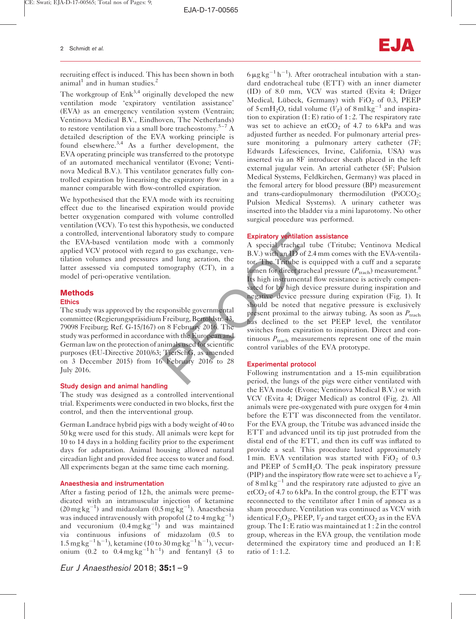recruiting effect is induced. This has been shown in both animal<sup>1</sup> and in human studies.<sup>2</sup>

The workgroup of  $Enk<sup>3,4</sup>$  originally developed the new ventilation mode 'expiratory ventilation assistance' (EVA) as an emergency ventilation system (Ventrain; Ventinova Medical B.V., Eindhoven, The Netherlands) to restore ventilation via a small bore tracheostomy.<sup>5–7</sup> A detailed description of the EVA working principle is found elsewhere.3,4 As a further development, the EVA operating principle was transferred to the prototype of an automated mechanical ventilator (Evone; Ventinova Medical B.V.). This ventilator generates fully controlled expiration by linearising the expiratory flow in a manner comparable with flow-controlled expiration.

We hypothesised that the EVA mode with its recruiting effect due to the linearised expiration would provide better oxygenation compared with volume controlled ventilation (VCV). To test this hypothesis, we conducted a controlled, interventional laboratory study to compare the EVA-based ventilation mode with a commonly applied VCV protocol with regard to gas exchange, ventilation volumes and pressures and lung aeration, the latter assessed via computed tomography (CT), in a model of peri-operative ventilation.

# Methods

## **Ethics**

The study was approved by the responsible governmental committee (Regierungspräsidium Freiburg, Bertoldstr. 43, 79098 Freiburg; Ref. G-15/167) on 8 February 2016. The study was performed in accordance with the European and German law on the protection of animals used for scientific purposes (EU-Directive 2010/63; TierSchG, as amended on 3 December 2015) from 16 February 2016 to 28 July 2016.

# Study design and animal handling

The study was designed as a controlled interventional trial. Experiments were conducted in two blocks, first the control, and then the interventional group.

German Landrace hybrid pigs with a body weight of 40 to 50 kg were used for this study. All animals were kept for 10 to 14 days in a holding facility prior to the experiment days for adaptation. Animal housing allowed natural circadian light and provided free access to water and food. All experiments began at the same time each morning.

# Anaesthesia and instrumentation

After a fasting period of 12 h, the animals were premedicated with an intramuscular injection of ketamine  $(20 \text{ mg kg}^{-1})$  and midazolam  $(0.5 \text{ mg kg}^{-1})$ . Anaesthesia was induced intravenously with propofol (2 to  $4 \text{ mg kg}^{-1}$ ) and vecuronium  $(0.4 \,\text{mg}\,\text{kg}^{-1})$  and was maintained via continuous infusions of midazolam (0.5 to  $1.5 \text{ mg kg}^{-1} \text{ h}^{-1}$ ), ketamine (10 to 30 mg kg<sup>-1</sup> h<sup>-1</sup>), vecuronium  $(0.2 \text{ to } 0.4 \text{ mg kg}^{-1} \text{ h}^{-1})$  and fentanyl  $(3 \text{ to } 1.4 \text{ mg kg}^{-1} \text{ h}^{-1})$ 

 $6 \mu g kg^{-1} h^{-1}$ ). After orotracheal intubation with a standard endotracheal tube (ETT) with an inner diameter (ID) of 8.0 mm, VCV was started (Evita 4; Dräger Medical, Lübeck, Germany) with  $FiO<sub>2</sub>$  of 0.3, PEEP of  $5 \text{ cm}H_2O$ , tidal volume  $(V_T)$  of  $8 \text{ ml kg}^{-1}$  and inspiration to expiration  $(I : E)$  ratio of 1:2. The respiratory rate was set to achieve an etCO<sub>2</sub> of 4.7 to 6 kPa and was adjusted further as needed. For pulmonary arterial pressure monitoring a pulmonary artery catheter (7F; Edwards Lifesciences, Irvine, California, USA) was inserted via an 8F introducer sheath placed in the left external jugular vein. An arterial catheter (5F; Pulsion Medical Systems, Feldkirchen, Germany) was placed in the femoral artery for blood pressure (BP) measurement and trans-cardiopulmonary thermodilution  $(PicCO<sub>2</sub>;$ Pulsion Medical Systems). A urinary catheter was inserted into the bladder via a mini laparotomy. No other surgical procedure was performed.

# Expiratory ventilation assistance

The same state of the lungs of the lungs of the lungs of the lungs in the lung is a series of the lung action, the luminosity (CT), in a luminosity (CT), in a luminosity (CT), in a luminosity of the luminosity of the lumi A special tracheal tube (Tritube; Ventinova Medical B.V.) with an ID of 2.4 mm comes with the EVA-ventilator. The Tritube is equipped with a cuff and a separate lumen for direct tracheal pressure ( $P_{\text{track}}$ ) measurement.<sup>8</sup> Its high instrumental flow resistance is actively compensated for by high device pressure during inspiration and negative device pressure during expiration (Fig. 1). It should be noted that negative pressure is exclusively present proximal to the airway tubing. As soon as  $P_{\text{track}}$ has declined to the set PEEP level, the ventilator switches from expiration to inspiration. Direct and continuous  $P_{\text{track}}$  measurements represent one of the main control variables of the EVA prototype.

# Experimental protocol

Following instrumentation and a 15-min equilibration period, the lungs of the pigs were either ventilated with the EVA mode (Evone; Ventinova Medical B.V.) or with VCV (Evita 4; Dräger Medical) as control (Fig. 2). All animals were pre-oxygenated with pure oxygen for 4 min before the ETT was disconnected from the ventilator. For the EVA group, the Tritube was advanced inside the ETT and advanced until its tip just protruded from the distal end of the ETT, and then its cuff was inflated to provide a seal. This procedure lasted approximately 1 min. EVA ventilation was started with  $FiO<sub>2</sub>$  of 0.3 and PEEP of  $5 \text{cm} H_2O$ . The peak inspiratory pressure (PIP) and the inspiratory flow rate were set to achieve a  $V_T$ of 8 ml kg<sup>-1</sup> and the respiratory rate adjusted to give an  $etCO<sub>2</sub>$  of 4.7 to 6 kPa. In the control group, the ETT was reconnected to the ventilator after 1 min of apnoea as a sham procedure. Ventilation was continued as VCV with identical  $F_1O_2$ , PEEP,  $V_T$  and target etCO<sub>2</sub> as in the EVA group. The I: E ratio was maintained at  $1:2$  in the control group, whereas in the EVA group, the ventilation mode determined the expiratory time and produced an  $I: E$ ratio of 1:1.2.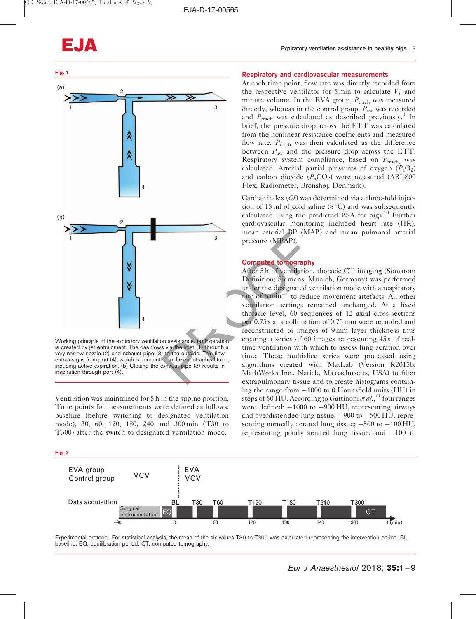

Working principle of the expiratory ventilation assistance. (a) Expiration is created by jet entrainment. The gas flows via the inlet (1) through a very narrow nozzle (2) and exhaust pipe (3) to the outside. This flow entrains gas from port (4), which is connected to the endotracheal tube, inducing active expiration. (b) Closing the exhaust pipe (3) results in inspiration through port (4).

Ventilation was maintained for 5 h in the supine position. Time points for measurements were defined as follows: baseline (before switching to designated ventilation mode), 30, 60, 120, 180, 240 and 300 min (T30 to T300) after the switch to designated ventilation mode.

#### Fig. 2

#### Respiratory and cardiovascular measurements

At each time point, flow rate was directly recorded from the respective ventilator for 5 min to calculate  $V_T$  and minute volume. In the EVA group,  $P_{\text{track}}$  was measured directly, whereas in the control group,  $P_{\text{aw}}$  was recorded and  $P_{\text{track}}$  was calculated as described previously.<sup>9</sup> In brief, the pressure drop across the ETT was calculated from the nonlinear resistance coefficients and measured flow rate.  $P_{\text{track}}$  was then calculated as the difference between  $P_{\text{aw}}$  and the pressure drop across the ETT. Respiratory system compliance, based on  $P_{\text{track}}$ , was calculated. Arterial partial pressures of oxygen  $(P_aO_2)$ and carbon dioxide  $(P_aCO_2)$  were measured (ABL800) Flex; Radiometer, Brønshøj, Denmark).

Cardiac index (CI) was determined via a three-fold injection of 15 ml of cold saline  $(8\degree C)$  and was subsequently calculated using the predicted BSA for pigs.<sup>10</sup> Further cardiovascular monitoring included heart rate (HR), mean arterial BP (MAP) and mean pulmonal arterial pressure (MPAP).

# Computed tomography

mean arterial BP (MA<br>
pressure (MPAP).<br>
Computed tomography<br>
After 5 h of ventilation,<br>
Definition; Siemens, M<br>
under the designated ve<br>
rate of 6 min<sup>-1</sup> to reduce<br>
ventilation settings respectively to reduce<br>
ventilation After 5 h of ventilation, thoracic CT imaging (Somatom Definition; Siemens, Munich, Germany) was performed under the designated ventilation mode with a respiratory rate of  $6 \text{ min}^{-1}$  to reduce movement artefacts. All other ventilation settings remained unchanged. At a fixed thoracic level, 60 sequences of 12 axial cross-sections per 0.75 s at a collimation of 0.75 mm were recorded and reconstructed to images of 9 mm layer thickness thus creating a series of 60 images representing 45 s of realtime ventilation with which to assess lung aeration over time. These multislice series were processed using algorithms created with MatLab (Version R2015b; MathWorks Inc., Natick, Massachusetts, USA) to filter extrapulmonary tissue and to create histograms containing the range from -1000 to 0 Hounsfield units (HU) in steps of 50 HU. According to Gattinoni et al.,<sup>11</sup> four ranges were defined:  $-1000$  to  $-900$  HU, representing airways and overdistended lung tissue; -900 to -500 HU, representing normally aerated lung tissue;  $-500$  to  $-100$  HU, representing poorly aerated lung tissue; and  $-100$  to



Experimental protocol. For statistical analysis, the mean of the six values T30 to T300 was calculated representing the intervention period. BL, baseline; EQ, equilibration period; CT, computed tomography.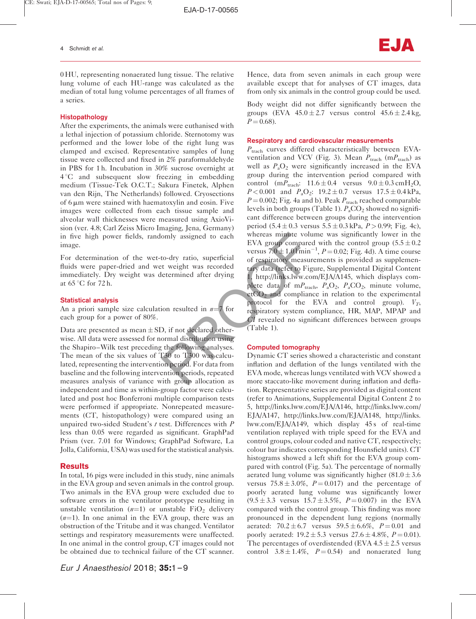0 HU, representing nonaerated lung tissue. The relative lung volume of each HU-range was calculated as the median of total lung volume percentages of all frames of a series.

## Histopathology

After the experiments, the animals were euthanised with a lethal injection of potassium chloride. Sternotomy was performed and the lower lobe of the right lung was clamped and excised. Representative samples of lung tissue were collected and fixed in 2% paraformaldehyde in PBS for 1 h. Incubation in 30% sucrose overnight at  $4^{\circ}$ C and subsequent slow freezing in embedding medium (Tissue-Tek O.C.T.; Sakura Finetek, Alphen van den Rijn, The Netherlands) followed. Cryosections of  $6 \mu m$  were stained with haematoxylin and eosin. Five images were collected from each tissue sample and alveolar wall thicknesses were measured using AxioVision (ver. 4.8; Carl Zeiss Micro Imaging, Jena, Germany) in five high power fields, randomly assigned to each image.

For determination of the wet-to-dry ratio, superficial fluids were paper-dried and wet weight was recorded immediately. Dry weight was determined after drying at  $65^{\circ}$ C for 72 h.

# Statistical analysis

An a priori sample size calculation resulted in  $n=7$  for each group for a power of 80%.

Data are presented as mean  $\pm$  SD, if not declared otherwise. All data were assessed for normal distribution using the Shapiro–Wilk test preceding the following analyses. The mean of the six values of T30 to T300 was calculated, representing the intervention period. For data from baseline and the following intervention periods, repeated measures analysis of variance with group allocation as independent and time as within-group factor were calculated and post hoc Bonferroni multiple comparison tests were performed if appropriate. Nonrepeated measurements (CT, histopathology) were compared using an unpaired two-sided Student's  $t$  test. Differences with  $P$ less than 0.05 were regarded as significant. GraphPad Prism (ver. 7.01 for Windows; GraphPad Software, La Jolla, California, USA) was used for the statistical analysis.

# **Results**

In total, 16 pigs were included in this study, nine animals in the EVA group and seven animals in the control group. Two animals in the EVA group were excluded due to software errors in the ventilator prototype resulting in unstable ventilation  $(n=1)$  or unstable FiO<sub>2</sub> delivery  $(n=1)$ . In one animal in the EVA group, there was an obstruction of the Tritube and it was changed. Ventilator settings and respiratory measurements were unaffected. In one animal in the control group, CT images could not be obtained due to technical failure of the CT scanner. Hence, data from seven animals in each group were available except that for analyses of CT images, data from only six animals in the control group could be used.

Body weight did not differ significantly between the groups (EVA  $45.0 \pm 2.7$  versus control  $45.6 \pm 2.4$  kg,  $P = 0.68$ ).

#### Respiratory and cardiovascular measurements

omly assigned to each<br>
EVA group compared<br>
to-dry ratio, superficial<br>
to-dry ratio, superficial<br>
to-dry ratio, superficial<br>
of respiratory measure<br>
to respiratory measure<br>
to respiratory measure<br>
to respiratory measure<br>
t  $P_{\text{track}}$  curves differed characteristically between EVAventilation and VCV (Fig. 3). Mean  $P_{\text{track}}$  (m $P_{\text{track}}$ ) as well as  $P_aO_2$  were significantly increased in the EVA group during the intervention period compared with control  $(mP_{\text{track}}: 11.6 \pm 0.4 \text{ versus } 9.0 \pm 0.3 \text{ cm} \text{H}_2\text{O},$  $P < 0.001$  and  $P_aO_2$ :  $19.2 \pm 0.7$  versus  $17.5 \pm 0.4$  kPa,  $P = 0.002$ ; Fig. 4a and b). Peak  $P_{\text{track}}$  reached comparable levels in both groups (Table 1).  $P_aCO_2$  showed no significant difference between groups during the intervention period  $(5.4 \pm 0.3 \text{ versus } 5.5 \pm 0.3 \text{ kPa}, P > 0.99; \text{ Fig. 4c})$ , whereas minute volume was significantly lower in the EVA group compared with the control group  $(5.5 \pm 0.2)$ versus  $7.0 \pm 1.0$  l min<sup>-1</sup>,  $P = 0.02$ ; Fig. 4d). A time course of respiratory measurements is provided as supplementary data (refer to Figure, Supplemental Digital Content 1, [http://links.lww.com/EJA/A145,](http://links.lww.com/EJA/A145) which displays complete data of m $P_{\text{track}}$ ,  $P_{a}O_{2}$ ,  $P_{a}CO_{2}$ , minute volume,  $etCO<sub>2</sub>$  and compliance in relation to the experimental protocol for the EVA and control group).  $V_T$ , respiratory system compliance, HR, MAP, MPAP and CI revealed no significant differences between groups (Table 1).

## Computed tomography

Dynamic CT series showed a characteristic and constant inflation and deflation of the lungs ventilated with the EVA mode, whereas lungs ventilated with VCV showed a more staccato-like movement during inflation and deflation. Representative series are provided as digital content (refer to Animations, Supplemental Digital Content 2 to 5, [http://links.lww.com/EJA/A146,](http://links.lww.com/EJA/A146) [http://links.lww.com/](http://links.lww.com/EJA/A147) [EJA/A147,](http://links.lww.com/EJA/A147) [http://links.lww.com/EJA/A148,](http://links.lww.com/EJA/A148) [http://links.](http://links.lww.com/EJA/A149) [lww.com/EJA/A149](http://links.lww.com/EJA/A149), which display 45s of real-time ventilation replayed with triple speed for the EVA and control groups, colour coded and native CT, respectively; colour bar indicates corresponding Hounsfield units). CT histograms showed a left shift for the EVA group compared with control (Fig. 5a). The percentage of normally aerated lung volume was significantly higher  $(81.0 \pm 3.6$ versus  $75.8 \pm 3.0\%$ ,  $P = 0.017$ ) and the percentage of poorly aerated lung volume was significantly lower  $(9.5 \pm 3.3$  versus  $15.7 \pm 3.5\%$ ,  $P = 0.007$ ) in the EVA compared with the control group. This finding was more pronounced in the dependent lung regions (normally aerated:  $70.2 \pm 6.7$  versus  $59.5 \pm 6.6\%$ ,  $P = 0.01$  and poorly aerated:  $19.2 \pm 5.3$  versus  $27.6 \pm 4.8\%$ ,  $P = 0.01$ ). The percentages of overdistended (EVA  $4.5 \pm 2.5$  versus control  $3.8 \pm 1.4\%$ ,  $P = 0.54$  and nonaerated lung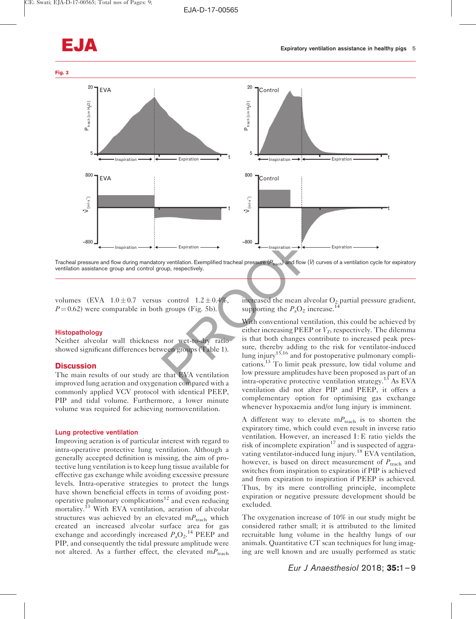

Tracheal pressure and flow during mandatory ventilation. Exemplified tracheal pressure ( $P_{\text{trap}}$ ) and flow ( $V$ ) curves of a ventilation cycle for expiratory ventilation assistance group and control group, respectively.

volumes (EVA  $1.0 \pm 0.7$  versus control  $1.2 \pm 0.4\%$ ,  $P = 0.62$ ) were comparable in both groups (Fig. 5b).

#### Histopathology

Neither alveolar wall thickness nor wet-to-dry ratio showed significant differences between groups (Table 1).

# **Discussion**

The main results of our study are that EVA ventilation improved lung aeration and oxygenation compared with a commonly applied VCV protocol with identical PEEP, PIP and tidal volume. Furthermore, a lower minute volume was required for achieving normoventilation.

#### Lung protective ventilation

Improving aeration is of particular interest with regard to intra-operative protective lung ventilation. Although a generally accepted definition is missing, the aim of protective lung ventilation is to keep lung tissue available for effective gas exchange while avoiding excessive pressure levels. Intra-operative strategies to protect the lungs have shown beneficial effects in terms of avoiding postoperative pulmonary complications<sup>12</sup> and even reducing mortality.<sup>13</sup> With EVA ventilation, aeration of alveolar structures was achieved by an elevated  $mP_{\text{track}}$  which created an increased alveolar surface area for gas exchange and accordingly increased  $P_aO_2$ .<sup>14</sup> PEEP and PIP, and consequently the tidal pressure amplitude were not altered. As a further effect, the elevated  $mP_{\text{track}}$ 

increased the mean alveolar  $O_2$  partial pressure gradient, supporting the  $P_aO_2$  increase.<sup>14</sup>

Expiration  $-800$ <br>
Expiration  $-800$ <br>
Expiration  $-800$ <br>
Expiration  $-800$ <br>
Expiration  $-800$ <br>
Expiration  $-800$ <br>
Control  $1.2 \pm 0.4\%$ , increased the mean alvert increased the mean alvert increased the mean alvert increa With conventional ventilation, this could be achieved by either increasing PEEP or  $V_T$ , respectively. The dilemma is that both changes contribute to increased peak pressure, thereby adding to the risk for ventilator-induced lung injury<sup>15,16</sup> and for postoperative pulmonary complications.13 To limit peak pressure, low tidal volume and low pressure amplitudes have been proposed as part of an intra-operative protective ventilation strategy.<sup>13</sup> As EVA ventilation did not alter PIP and PEEP, it offers a complementary option for optimising gas exchange whenever hypoxaemia and/or lung injury is imminent.

> A different way to elevate  $mP_{\text{track}}$  is to shorten the expiratory time, which could even result in inverse ratio ventilation. However, an increased I: E ratio yields the risk of incomplete expiration $17$  and is suspected of aggravating ventilator-induced lung injury.<sup>18</sup> EVA ventilation, however, is based on direct measurement of  $P_{\text{track}}$  and switches from inspiration to expiration if PIP is achieved and from expiration to inspiration if PEEP is achieved. Thus, by its mere controlling principle, incomplete expiration or negative pressure development should be excluded.

> The oxygenation increase of 10% in our study might be considered rather small; it is attributed to the limited recruitable lung volume in the healthy lungs of our animals. Quantitative CT scan techniques for lung imaging are well known and are usually performed as static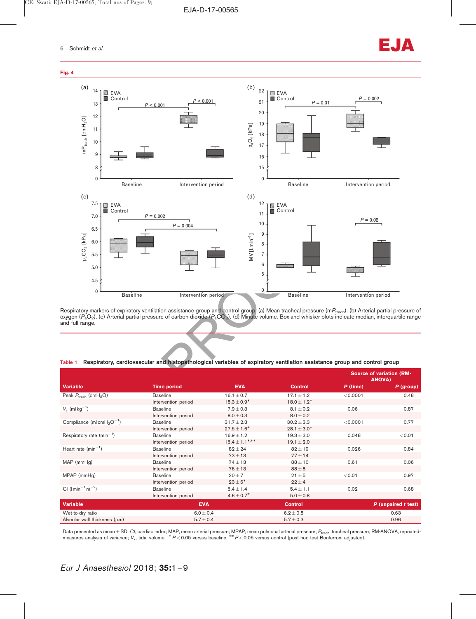

Respiratory markers of expiratory ventilation assistance group and control group. (a) Mean tracheal pressure (m $P_{\rm{tach}}$ ). (b) Arterial partial pressure of oxygen ( $P_{\rm a}$ O $_2$ ). (c) Arterial partial pressure of carbon dioxide ( $P_{\rm a}$ CO $_2$ ). (d) Minute volume. Box and whisker plots indicate median, interquartile range and full range.

Table 1 Respiratory, cardiovascular and histopathological variables of expiratory ventilation assistance group and control group

|                                                   |                     |                            |                  | <b>Source of variation (RM-</b><br><b>ANOVA)</b> |                     |
|---------------------------------------------------|---------------------|----------------------------|------------------|--------------------------------------------------|---------------------|
| Variable                                          | <b>Time period</b>  | <b>EVA</b>                 | <b>Control</b>   | $P$ (time)                                       | $P$ (group)         |
| Peak $P_{\text{track}}$ (cmH <sub>2</sub> O)      | <b>Baseline</b>     | $16.1 \pm 0.7$             | $17.1 \pm 1.2$   | < 0.0001                                         | 0.48                |
|                                                   | Intervention period | $18.3 \pm 0.9^*$           | $18.0 \pm 1.2^*$ |                                                  |                     |
| $V_T$ (ml kg <sup>-1</sup> )                      | <b>Baseline</b>     | $7.9 \pm 0.3$              | $8.1 \pm 0.2$    | 0.06                                             | 0.87                |
|                                                   | Intervention period | $8.0 \pm 0.3$              | $8.0 \pm 0.2$    |                                                  |                     |
| Compliance (ml cmH <sub>2</sub> O <sup>-1</sup> ) | <b>Baseline</b>     | $31.7 \pm 2.3$             | $30.2 \pm 3.3$   | < 0.0001                                         | 0.77                |
|                                                   | Intervention period | $27.5 \pm 1.6^*$           | $28.1 \pm 3.0^*$ |                                                  |                     |
| Respiratory rate $(min^{-1})$                     | <b>Baseline</b>     | $16.9 \pm 1.2$             | $19.3 \pm 3.0$   | 0.048                                            | < 0.01              |
|                                                   | Intervention period | $15.4 \pm 1.1***$          | $19.1 \pm 2.0$   |                                                  |                     |
| Heart rate $(min^{-1})$                           | <b>Baseline</b>     | $82 \pm 24$                | $82 \pm 19$      | 0.026                                            | 0.84                |
|                                                   | Intervention period | $73 \pm 13$                | $77 \pm 14$      |                                                  |                     |
| MAP (mmHg)                                        | <b>Baseline</b>     | $74 \pm 13$                | $88 \pm 10$      | 0.61                                             | 0.06                |
|                                                   | Intervention period | $76 \pm 13$                | $88 \pm 8$       |                                                  |                     |
| MPAP (mmHq)                                       | <b>Baseline</b>     | $20 \pm 7$                 | $21 \pm 5$       | < 0.01                                           | 0.97                |
|                                                   | Intervention period | $23\pm6*$                  | $22 \pm 4$       |                                                  |                     |
| CI ( $l \text{min}^{-1} \text{m}^{-2}$ )          | <b>Baseline</b>     | $5.4 \pm 1.4$              | $5.4 \pm 1.1$    | 0.02                                             | 0.68                |
|                                                   | Intervention period | $4.6 \pm 0.7$ <sup>*</sup> | $5.0 \pm 0.8$    |                                                  |                     |
| Variable                                          | <b>EVA</b>          |                            | <b>Control</b>   |                                                  | P (unpaired t test) |
| Wet-to-dry ratio                                  | $6.0 \pm 0.4$       |                            | $6.2 \pm 0.8$    | 0.63                                             |                     |
| Alveolar wall thickness $(\mu m)$                 | $5.7 \pm 0.4$       |                            | $5.7 \pm 0.3$    | 0.96                                             |                     |

Data presented as mean±SD. C/, cardiac index; MAP, mean arterial pressure; MPAP, mean pulmonal arterial pressure; P<sub>trach</sub>, tracheal pressure; RM-ANOVA, repeated-<br>measures analysis of variance; *V<sub>T</sub>*, tidal volume. <sup>\*</sup>P<0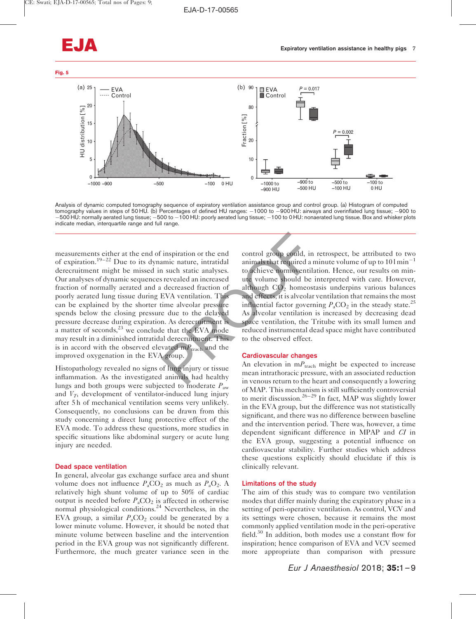

Analysis of dynamic computed tomography sequence of expiratory ventilation assistance group and control group. (a) Histogram of computed tomography values in steps of 50 HU. (b) Percentages of defined HU ranges:  $-1000$  to  $-900$  HU: airways and overinflated lung tissue;  $-900$  to  $-$ 500 HU: normally aerated lung tissue;  $-$ 500 to  $-$ 100 HU: poorly aerated lung tissue;  $-$ 100 to 0 HU: nonaerated lung tissue. Box and whisker plots indicate median, interquartile range and full range.

inspiration or the end<br>
annic nature, intratidal<br>
in such static analyses.<br>
to achieve normoventila<br>
in such static analyses.<br>
to achieve normoventila<br>
ine vecaled an increased<br>
intervalue volume should be<br>
decreased frac measurements either at the end of inspiration or the end of expiration.<sup>19–22</sup> Due to its dynamic nature, intratidal derecruitment might be missed in such static analyses. Our analyses of dynamic sequences revealed an increased fraction of normally aerated and a decreased fraction of poorly aerated lung tissue during EVA ventilation. This can be explained by the shorter time alveolar pressure spends below the closing pressure due to the delayed pressure decrease during expiration. As derecruitment is a matter of seconds, $^{23}$  we conclude that the EVA mode may result in a diminished intratidal derecruitment. This is in accord with the observed elevated  $mP_{\text{track}}$  and the improved oxygenation in the EVA group.

Histopathology revealed no signs of lung injury or tissue inflammation. As the investigated animals had healthy lungs and both groups were subjected to moderate  $P_{\text{aw}}$ and  $V_T$ , development of ventilator-induced lung injury after 5 h of mechanical ventilation seems very unlikely. Consequently, no conclusions can be drawn from this study concerning a direct lung protective effect of the EVA mode. To address these questions, more studies in specific situations like abdominal surgery or acute lung injury are needed.

## Dead space ventilation

In general, alveolar gas exchange surface area and shunt volume does not influence  $P_aCO_2$  as much as  $P_aO_2$ . A relatively high shunt volume of up to 50% of cardiac output is needed before  $P_aCO_2$  is affected in otherwise normal physiological conditions.<sup>24</sup> Nevertheless, in the EVA group, a similar  $P_aCO_2$  could be generated by a lower minute volume. However, it should be noted that minute volume between baseline and the intervention period in the EVA group was not significantly different. Furthermore, the much greater variance seen in the control group could, in retrospect, be attributed to two animals that required a minute volume of up to  $101$  min<sup>-1</sup> to achieve normoventilation. Hence, our results on minute volume should be interpreted with care. However, although  $CO<sub>2</sub>$  homeostasis underpins various balances and effects, it is alveolar ventilation that remains the most influential factor governing  $P_aCO_2$  in the steady state.<sup>25</sup> As alveolar ventilation is increased by decreasing dead space ventilation, the Tritube with its small lumen and reduced instrumental dead space might have contributed to the observed effect.

## Cardiovascular changes

An elevation in  $m_{\text{track}}$  might be expected to increase mean intrathoracic pressure, with an associated reduction in venous return to the heart and consequently a lowering of MAP. This mechanism is still sufficiently controversial to merit discussion.<sup>26–29</sup> In fact, MAP was slightly lower in the EVA group, but the difference was not statistically significant, and there was no difference between baseline and the intervention period. There was, however, a time dependent significant difference in MPAP and CI in the EVA group, suggesting a potential influence on cardiovascular stability. Further studies which address these questions explicitly should elucidate if this is clinically relevant.

## Limitations of the study

The aim of this study was to compare two ventilation modes that differ mainly during the expiratory phase in a setting of peri-operative ventilation. As control, VCV and its settings were chosen, because it remains the most commonly applied ventilation mode in the peri-operative field.30 In addition, both modes use a constant flow for inspiration; hence comparison of EVA and VCV seemed more appropriate than comparison with pressure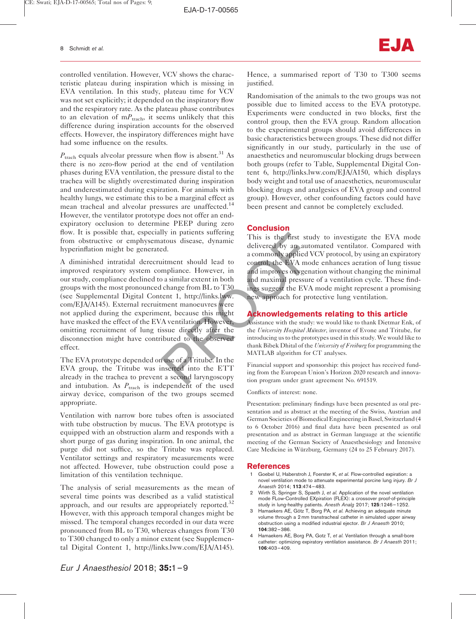controlled ventilation. However, VCV shows the characteristic plateau during inspiration which is missing in EVA ventilation. In this study, plateau time for VCV was not set explicitly; it depended on the inspiratory flow and the respiratory rate. As the plateau phase contributes to an elevation of  $mP_{\text{track}}$ , it seems unlikely that this difference during inspiration accounts for the observed effects. However, the inspiratory differences might have had some influence on the results.

 $P_{\text{track}}$  equals alveolar pressure when flow is absent.<sup>31</sup> As there is no zero-flow period at the end of ventilation phases during EVA ventilation, the pressure distal to the trachea will be slightly overestimated during inspiration and underestimated during expiration. For animals with healthy lungs, we estimate this to be a marginal effect as mean tracheal and alveolar pressures are unaffected.<sup>14</sup> However, the ventilator prototype does not offer an endexpiratory occlusion to determine PEEP during zero flow. It is possible that, especially in patients suffering from obstructive or emphysematous disease, dynamic hyperinflation might be generated.

Ity in patients surfering<br>
ed.<br>
Exampliance diverged by an auto<br>
a commonly applied V<br>
ittment should lead to<br>
a commonly applied V<br>
control, the EVA mod<br>
and improves oxygena<br>
and improves oxygena<br>
and improves oxygena<br>
a A diminished intratidal derecruitment should lead to improved respiratory system compliance. However, in our study, compliance declined to a similar extent in both groups with the most pronounced change from BL to T30 (see Supplemental Digital Content 1, http://links.lww. [com/EJA/A145\)](http://links.lww.com/EJA/A145). External recruitment manoeuvres were not applied during the experiment, because this might have masked the effect of the EVA ventilation. However, omitting recruitment of lung tissue directly after the disconnection might have contributed to the observed effect.

The EVA prototype depended on use of a Tritube. In the EVA group, the Tritube was inserted into the ETT already in the trachea to prevent a second laryngoscopy and intubation. As  $P_{\text{track}}$  is independent of the used airway device, comparison of the two groups seemed appropriate.

Ventilation with narrow bore tubes often is associated with tube obstruction by mucus. The EVA prototype is equipped with an obstruction alarm and responds with a short purge of gas during inspiration. In one animal, the purge did not suffice, so the Tritube was replaced. Ventilator settings and respiratory measurements were not affected. However, tube obstruction could pose a limitation of this ventilation technique.

The analysis of serial measurements as the mean of several time points was described as a valid statistical approach, and our results are appropriately reported.<sup>32</sup> However, with this approach temporal changes might be missed. The temporal changes recorded in our data were pronounced from BL to T30, whereas changes from T30 to T300 changed to only a minor extent (see Supplemental Digital Content 1,<http://links.lww.com/EJA/A145>).

Hence, a summarised report of T30 to T300 seems justified.

Randomisation of the animals to the two groups was not possible due to limited access to the EVA prototype. Experiments were conducted in two blocks, first the control group, then the EVA group. Random allocation to the experimental groups should avoid differences in basic characteristics between groups. These did not differ significantly in our study, particularly in the use of anaesthetics and neuromuscular blocking drugs between both groups (refer to Table, Supplemental Digital Content 6,<http://links.lww.com/EJA/A150>, which displays body weight and total use of anaesthetics, neuromuscular blocking drugs and analgesics of EVA group and control group). However, other confounding factors could have been present and cannot be completely excluded.

# **Conclusion**

This is the first study to investigate the EVA mode delivered by an automated ventilator. Compared with a commonly applied VCV protocol, by using an expiratory control, the EVA mode enhances aeration of lung tissue and improves oxygenation without changing the minimal and maximal pressure of a ventilation cycle. These findings suggest the EVA mode might represent a promising new approach for protective lung ventilation.

# Acknowledgements relating to this article

Assistance with the study: we would like to thank Dietmar Enk, of the University Hospital Muïnster, inventor of Evone and Tritube, for introducing us to the prototypes used in this study. We would like to thank Bibek Dhital of the University of Freiburg for programming the MATLAB algorithm for CT analyses.

Financial support and sponsorship: this project has received funding from the European Union's Horizon 2020 research and innovation program under grant agreement No. 691519.

Conflicts of interest: none.

Presentation: preliminary findings have been presented as oral presentation and as abstract at the meeting of the Swiss, Austrian and German Societies of Biomedical Engineering in Basel, Switzerland (4 to 6 October 2016) and final data have been presented as oral presentation and as abstract in German language at the scientific meeting of the German Society of Anaesthesiology and Intensive Care Medicine in Würzburg, Germany (24 to 25 February 2017).

## References

- 1 Goebel U, Haberstroh J, Foerster K, et al. Flow-controlled expiration: a novel ventilation mode to attenuate experimental porcine lung injury. Br J Anaesth 2014; 113:474–483.
- 2 Wirth S, Springer S, Spaeth J, et al. Application of the novel ventilation mode FLow-Controlled EXpiration (FLEX): a crossover proof-of-principle study in lung-healthy patients. Anesth Analg 2017; 125:1246–1252.
- 3 Hamaekers AE, Götz T, Borg PA, et al. Achieving an adequate minute volume through a 2 mm transtracheal catheter in simulated upper airway obstruction using a modified industrial ejector. Br J Anaesth 2010; 104:382–386.
- Hamaekers AE, Borg PA, Gotz T, et al. Ventilation through a small-bore catheter: optimizing expiratory ventilation assistance. Br J Anaesth 2011; 106:403–409.